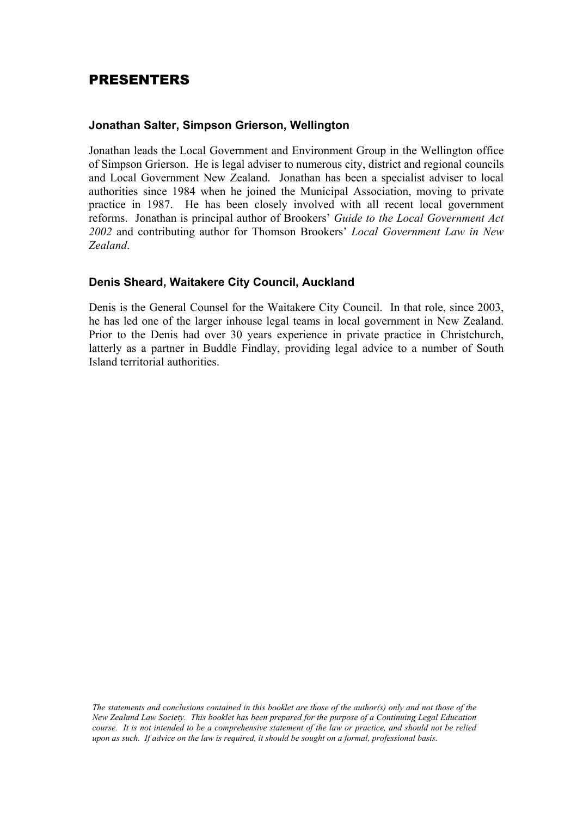## PRESENTERS

## **Jonathan Salter, Simpson Grierson, Wellington**

Jonathan leads the Local Government and Environment Group in the Wellington office of Simpson Grierson. He is legal adviser to numerous city, district and regional councils and Local Government New Zealand. Jonathan has been a specialist adviser to local authorities since 1984 when he joined the Municipal Association, moving to private practice in 1987. He has been closely involved with all recent local government reforms. Jonathan is principal author of Brookers' *Guide to the Local Government Act 2002* and contributing author for Thomson Brookers' *Local Government Law in New Zealand*.

## **Denis Sheard, Waitakere City Council, Auckland**

Denis is the General Counsel for the Waitakere City Council. In that role, since 2003, he has led one of the larger inhouse legal teams in local government in New Zealand. Prior to the Denis had over 30 years experience in private practice in Christchurch, latterly as a partner in Buddle Findlay, providing legal advice to a number of South Island territorial authorities.

*The statements and conclusions contained in this booklet are those of the author(s) only and not those of the New Zealand Law Society. This booklet has been prepared for the purpose of a Continuing Legal Education course. It is not intended to be a comprehensive statement of the law or practice, and should not be relied upon as such. If advice on the law is required, it should be sought on a formal, professional basis.*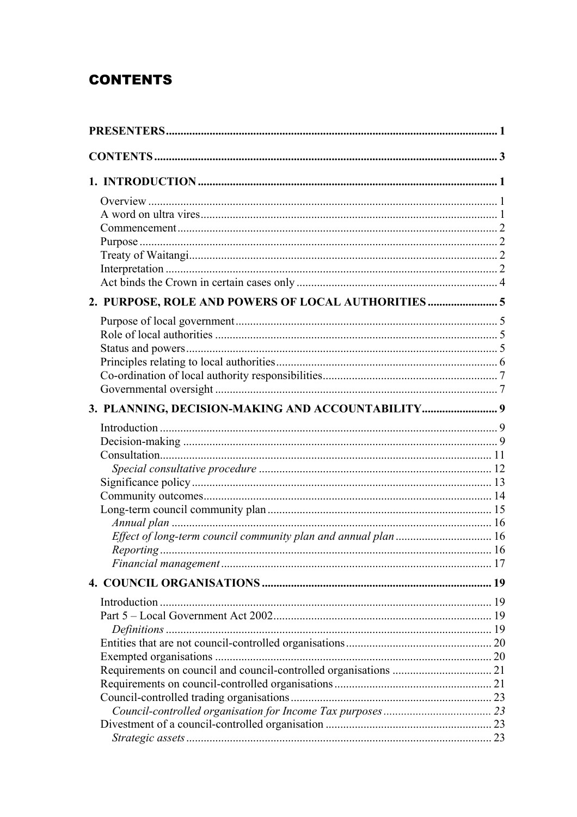## **CONTENTS**

| 2. PURPOSE, ROLE AND POWERS OF LOCAL AUTHORITIES  |  |  |
|---------------------------------------------------|--|--|
|                                                   |  |  |
|                                                   |  |  |
|                                                   |  |  |
|                                                   |  |  |
|                                                   |  |  |
|                                                   |  |  |
| 3. PLANNING, DECISION-MAKING AND ACCOUNTABILITY 9 |  |  |
|                                                   |  |  |
|                                                   |  |  |
|                                                   |  |  |
|                                                   |  |  |
|                                                   |  |  |
|                                                   |  |  |
|                                                   |  |  |
|                                                   |  |  |
|                                                   |  |  |
|                                                   |  |  |
|                                                   |  |  |
|                                                   |  |  |
|                                                   |  |  |
|                                                   |  |  |
|                                                   |  |  |
|                                                   |  |  |
|                                                   |  |  |
|                                                   |  |  |
|                                                   |  |  |
|                                                   |  |  |
|                                                   |  |  |
|                                                   |  |  |
|                                                   |  |  |